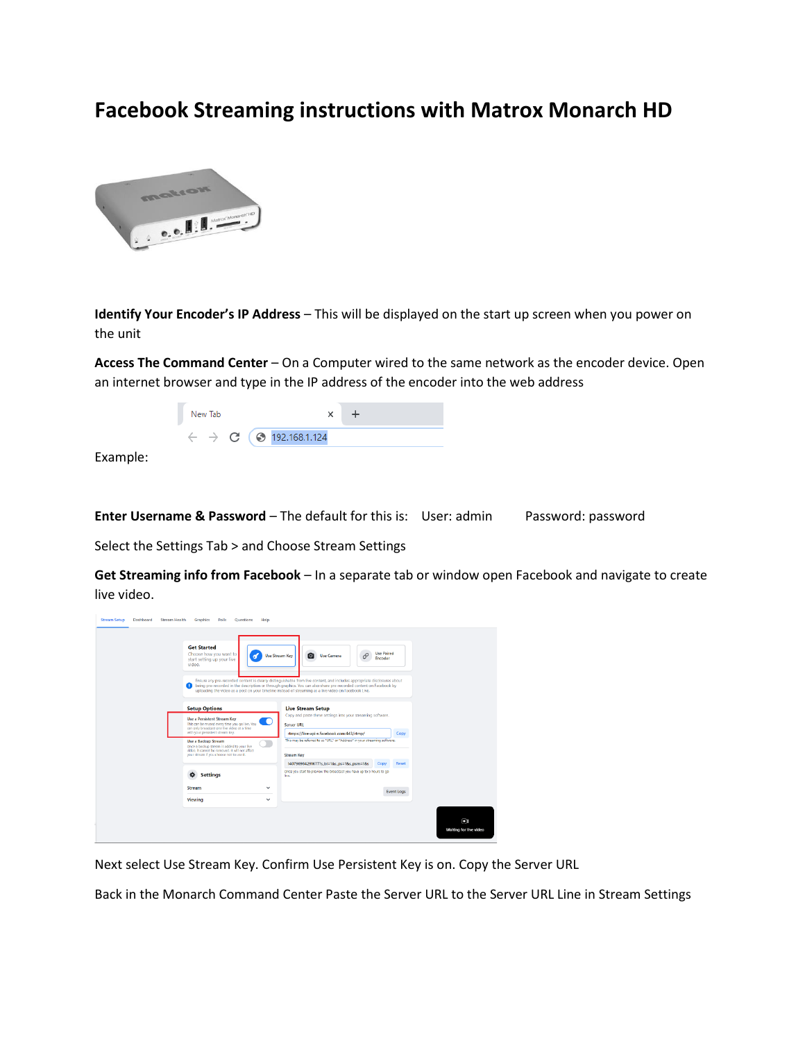## **Facebook Streaming instructions with Matrox Monarch HD**



**Identify Your Encoder's IP Address** – This will be displayed on the start up screen when you power on the unit

**Access The Command Center** – On a Computer wired to the same network as the encoder device. Open an internet browser and type in the IP address of the encoder into the web address



Example:

**Enter Username & Password** – The default for this is: User: admin Password: password

Select the Settings Tab > and Choose Stream Settings

**Get Streaming info from Facebook** – In a separate tab or window open Facebook and navigate to create live video.

| <b>Get Started</b><br>video.                | Choose how you want to<br><b>Use Stream Key</b><br>start setting up your live                                                                                                                                                                                     | Q<br><b>Use Camera</b><br>Ensure any pre-recorded content is clearly distinguishable from live content, and includes appropriate disclosures about<br>being pre-recorded in the description or through graphics. You can also share pre-recorded content on Facebook by<br>uploading the video as a post on your timeline instead of streaming as a live video on Facebook Live. | <b>Use Paired</b><br>Encoder       |
|---------------------------------------------|-------------------------------------------------------------------------------------------------------------------------------------------------------------------------------------------------------------------------------------------------------------------|----------------------------------------------------------------------------------------------------------------------------------------------------------------------------------------------------------------------------------------------------------------------------------------------------------------------------------------------------------------------------------|------------------------------------|
| <b>Setup Options</b><br>Use a Backup Stream | Use a Persistent Stream Key<br>This can be reused every time you go live. You<br>can only broadcast one live video at a time<br>with your persistent stream key.<br>Once a backup stream is added to your live<br>video, it cannot be removed. It will not affect | <b>Live Stream Setup</b><br>Copy and paste these settings into your streaming software.<br><b>Server URL</b><br>rtmps://live-api-s.facebook.com:443/rtmp/<br>This may be referred to as "URL" or "Address" in your streaming software.                                                                                                                                           | Copy                               |
| o<br><b>Stream</b>                          | your stream if you choose not to use it.<br><b>Settings</b><br>$\checkmark$                                                                                                                                                                                       | <b>Stream Key</b><br>140796984291677?s bl=1&s ps=1&s psm=1&s<br>Once you start to preview the broadcast you have up to 5 hours to go<br>Eve.                                                                                                                                                                                                                                     | Reset<br>Copy<br><b>Event Logs</b> |
| Viewing                                     | $\checkmark$                                                                                                                                                                                                                                                      |                                                                                                                                                                                                                                                                                                                                                                                  | $\Box$<br>Waiting for live video   |

Next select Use Stream Key. Confirm Use Persistent Key is on. Copy the Server URL

Back in the Monarch Command Center Paste the Server URL to the Server URL Line in Stream Settings